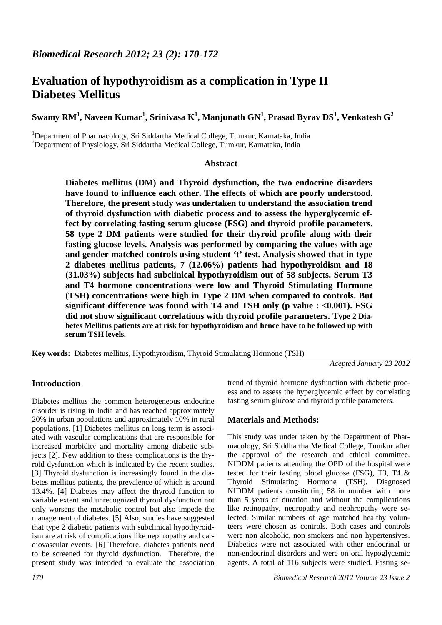# **Evaluation of hypothyroidism as a complication in Type II Diabetes Mellitus**

**Swamy RM<sup>1</sup> , Naveen Kumar<sup>1</sup> , Srinivasa K<sup>1</sup> , Manjunath GN<sup>1</sup> , Prasad Byrav DS<sup>1</sup> , Venkatesh G<sup>2</sup>**

<sup>1</sup>Department of Pharmacology, Sri Siddartha Medical College, Tumkur, Karnataka, India <sup>2</sup>Department of Physiology, Sri Siddartha Medical College, Tumkur, Karnataka, India

# **Abstract**

**Diabetes mellitus (DM) and Thyroid dysfunction, the two endocrine disorders have found to influence each other. The effects of which are poorly understood. Therefore, the present study was undertaken to understand the association trend of thyroid dysfunction with diabetic process and to assess the hyperglycemic effect by correlating fasting serum glucose (FSG) and thyroid profile parameters. 58 type 2 DM patients were studied for their thyroid profile along with their fasting glucose levels. Analysis was performed by comparing the values with age and gender matched controls using student 't' test. Analysis showed that in type 2 diabetes mellitus patients, 7 (12.06%) patients had hypothyroidism and 18 (31.03%) subjects had subclinical hypothyroidism out of 58 subjects. Serum T3 and T4 hormone concentrations were low and Thyroid Stimulating Hormone (TSH) concentrations were high in Type 2 DM when compared to controls. But significant difference was found with T4 and TSH only (p value : <0.001). FSG did not show significant correlations with thyroid profile parameters. Type 2 Diabetes Mellitus patients are at risk for hypothyroidism and hence have to be followed up with serum TSH levels.**

**Key words:** Diabetes mellitus, Hypothyroidism, Thyroid Stimulating Hormone (TSH)

*Acepted January 23 2012*

# **Introduction**

Diabetes mellitus the common heterogeneous endocrine disorder is rising in India and has reached approximately 20% in urban populations and approximately 10% in rural populations. [1] Diabetes mellitus on long term is associated with vascular complications that are responsible for increased morbidity and mortality among diabetic subjects [2]. New addition to these complications is the thyroid dysfunction which is indicated by the recent studies. [3] Thyroid dysfunction is increasingly found in the diabetes mellitus patients, the prevalence of which is around 13.4%. [4] Diabetes may affect the thyroid function to variable extent and unrecognized thyroid dysfunction not only worsens the metabolic control but also impede the management of diabetes. [5] Also, studies have suggested that type 2 diabetic patients with subclinical hypothyroidism are at risk of complications like nephropathy and cardiovascular events. [6] Therefore, diabetes patients need to be screened for thyroid dysfunction. Therefore, the present study was intended to evaluate the association

trend of thyroid hormone dysfunction with diabetic process and to assess the hyperglycemic effect by correlating fasting serum glucose and thyroid profile parameters.

# **Materials and Methods:**

This study was under taken by the Department of Pharmacology, Sri Siddhartha Medical College, Tumkur after the approval of the research and ethical committee. NIDDM patients attending the OPD of the hospital were tested for their fasting blood glucose (FSG), T3, T4 & Thyroid Stimulating Hormone (TSH). Diagnosed NIDDM patients constituting 58 in number with more than 5 years of duration and without the complications like retinopathy, neuropathy and nephropathy were selected. Similar numbers of age matched healthy volunteers were chosen as controls. Both cases and controls were non alcoholic, non smokers and non hypertensives. Diabetics were not associated with other endocrinal or non-endocrinal disorders and were on oral hypoglycemic agents. A total of 116 subjects were studied. Fasting se-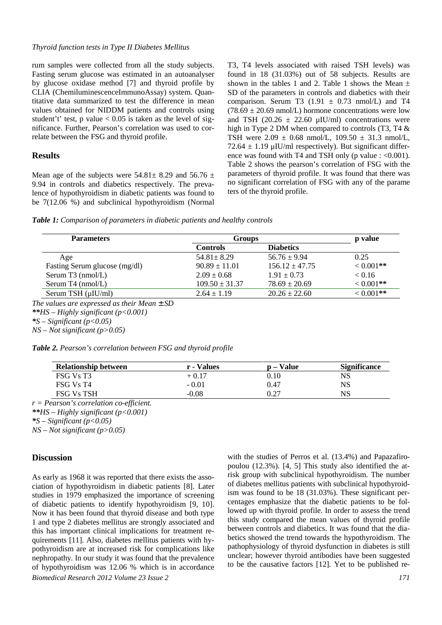#### *Thyroid function tests in Type II Diabetes Mellitus*

rum samples were collected from all the study subjects. Fasting serum glucose was estimated in an autoanalyser by glucose oxidase method [7] and thyroid profile by CLIA (ChemiluminescenceImmunoAssay) system. Quantitative data summarized to test the difference in mean values obtained for NIDDM patients and controls using student't' test, p value  $< 0.05$  is taken as the level of significance. Further, Pearson's correlation was used to correlate between the FSG and thyroid profile.

#### **Results**

Mean age of the subjects were  $54.81 \pm 8.29$  and  $56.76 \pm 1.5$ 9.94 in controls and diabetics respectively. The prevalence of hypothyroidism in diabetic patients was found to be 7(12.06 %) and subclinical hypothyroidism (Normal T3, T4 levels associated with raised TSH levels) was found in 18 (31.03%) out of 58 subjects. Results are shown in the tables 1 and 2. Table 1 shows the Mean  $\pm$ SD of the parameters in controls and diabetics with their comparison. Serum T3 (1.91  $\pm$  0.73 nmol/L) and T4  $(78.69 \pm 20.69 \text{ nmol/L})$  hormone concentrations were low and TSH (20.26  $\pm$  22.60  $\mu$ IU/ml) concentrations were high in Type 2 DM when compared to controls (T3, T4 & TSH were  $2.09 \pm 0.68$  nmol/L,  $109.50 \pm 31.3$  nmol/L, 72.64  $\pm$  1.19 µIU/ml respectively). But significant difference was found with T4 and TSH only (p value : <0.001). Table 2 shows the pearson's correlation of FSG with the parameters of thyroid profile. It was found that there was no significant correlation of FSG with any of the parame ters of the thyroid profile.

*Table 1: Comparison of parameters in diabetic patients and healthy controls*

| <b>Groups</b>      | p value            |              |
|--------------------|--------------------|--------------|
| <b>Controls</b>    | <b>Diabetics</b>   |              |
| $54.81 \pm 8.29$   | $56.76 \pm 9.94$   | 0.25         |
| $90.89 \pm 11.01$  | $156.12 \pm 47.75$ | $< 0.001$ ** |
| $2.09 \pm 0.68$    | $1.91 \pm 0.73$    | < 0.16       |
| $109.50 \pm 31.37$ | $78.69 \pm 20.69$  | $< 0.001**$  |
| $2.64 \pm 1.19$    | $20.26 \pm 22.60$  | $< 0.001**$  |
|                    |                    |              |

*\*S – Significant (p<0.05)*

*NS – Not significant (p>0.05)*

|  | <b>Table 2.</b> Pearson's correlation between FSG and thyroid profile |  |  |
|--|-----------------------------------------------------------------------|--|--|
|  |                                                                       |  |  |

| <b>Relationship between</b> | r - Values | <b>p</b> – Value | <b>Significance</b> |
|-----------------------------|------------|------------------|---------------------|
| FSG Vs T3                   | $+0.17$    | 0.10             | NS                  |
| FSG Vs T4                   | $-0.01$    | 0.47             | NS                  |
| <b>FSG Vs TSH</b>           | $-0.08$    | 0.27             | NS                  |

*r = Pearson's correlation co-efficient.*

*\*\*HS – Highly significant (p<0.001)*

*\*S – Significant (p<0.05)*

*NS – Not significant (p>0.05)*

## **Discussion**

*Biomedical Research 2012 Volume 23 Issue 2 171* As early as 1968 it was reported that there exists the association of hypothyroidism in diabetic patients [8]. Later studies in 1979 emphasized the importance of screening of diabetic patients to identify hypothyroidism [9, 10]. Now it has been found that thyroid disease and both type 1 and type 2 diabetes mellitus are strongly associated and this has important clinical implications for treatment requirements [11]. Also, diabetes mellitus patients with hypothyroidism are at increased risk for complications like nephropathy. In our study it was found that the prevalence of hypothyroidism was 12.06 % which is in accordance

with the studies of Perros et al. (13.4%) and Papazafiropoulou (12.3%). [4, 5] This study also identified the atrisk group with subclinical hypothyroidism. The number of diabetes mellitus patients with subclinical hypothyroidism was found to be 18 (31.03%). These significant percentages emphasize that the diabetic patients to be followed up with thyroid profile. In order to assess the trend this study compared the mean values of thyroid profile between controls and diabetics. It was found that the diabetics showed the trend towards the hypothyroidism. The pathophysiology of thyroid dysfunction in diabetes is still unclear; however thyroid antibodies have been suggested to be the causative factors [12]. Yet to be published re-